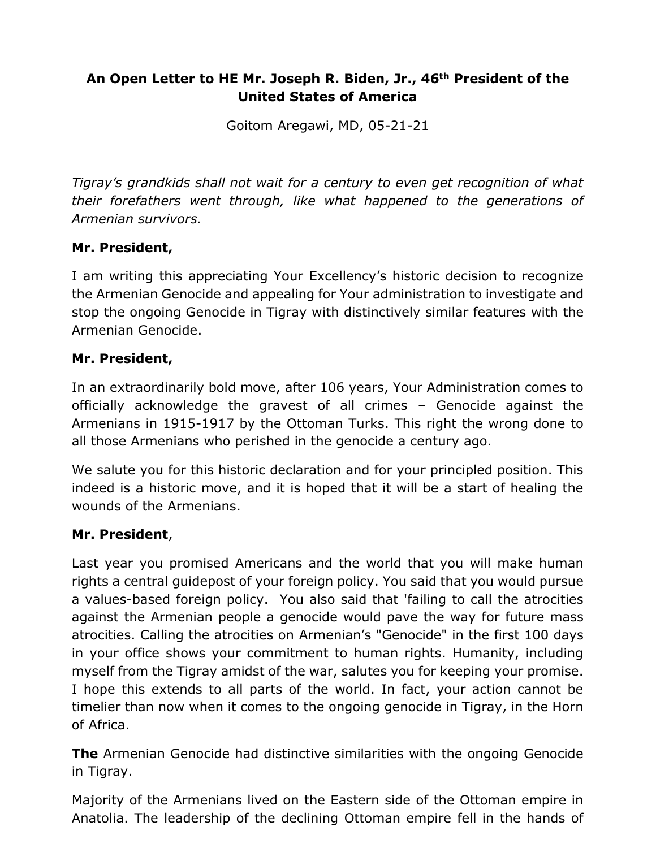# **An Open Letter to HE Mr. Joseph R. Biden, Jr., 46th President of the United States of America**

Goitom Aregawi, MD, 05-21-21

*Tigray's grandkids shall not wait for a century to even get recognition of what their forefathers went through, like what happened to the generations of Armenian survivors.* 

## **Mr. President,**

I am writing this appreciating Your Excellency's historic decision to recognize the Armenian Genocide and appealing for Your administration to investigate and stop the ongoing Genocide in Tigray with distinctively similar features with the Armenian Genocide.

### **Mr. President,**

In an extraordinarily bold move, after 106 years, Your Administration comes to officially acknowledge the gravest of all crimes – Genocide against the Armenians in 1915-1917 by the Ottoman Turks. This right the wrong done to all those Armenians who perished in the genocide a century ago.

We salute you for this historic declaration and for your principled position. This indeed is a historic move, and it is hoped that it will be a start of healing the wounds of the Armenians.

### **Mr. President**,

Last year you promised Americans and the world that you will make human rights a central guidepost of your foreign policy. You said that you would pursue a values-based foreign policy. You also said that 'failing to call the atrocities against the Armenian people a genocide would pave the way for future mass atrocities. Calling the atrocities on Armenian's "Genocide" in the first 100 days in your office shows your commitment to human rights. Humanity, including myself from the Tigray amidst of the war, salutes you for keeping your promise. I hope this extends to all parts of the world. In fact, your action cannot be timelier than now when it comes to the ongoing genocide in Tigray, in the Horn of Africa.

**The** Armenian Genocide had distinctive similarities with the ongoing Genocide in Tigray.

Majority of the Armenians lived on the Eastern side of the Ottoman empire in Anatolia. The leadership of the declining Ottoman empire fell in the hands of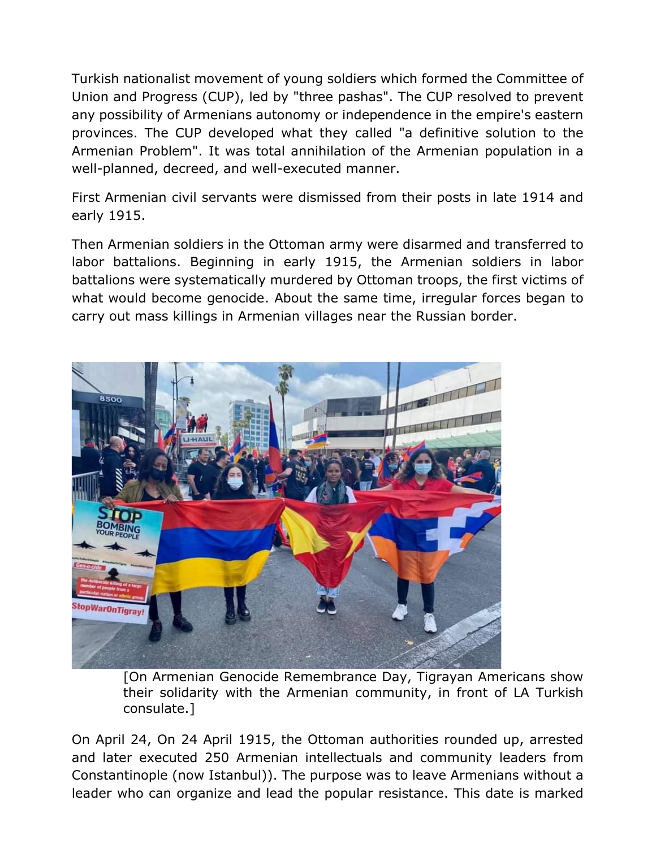Turkish nationalist movement of young soldiers which formed the Committee of Union and Progress (CUP), led by "three pashas". The CUP resolved to prevent any possibility of Armenians autonomy or independence in the empire's eastern provinces. The CUP developed what they called "a definitive solution to the Armenian Problem". It was total annihilation of the Armenian population in a well-planned, decreed, and well-executed manner.

First Armenian civil servants were dismissed from their posts in late 1914 and early 1915.

Then Armenian soldiers in the Ottoman army were disarmed and transferred to labor battalions. Beginning in early 1915, the Armenian soldiers in labor battalions were systematically murdered by Ottoman troops, the first victims of what would become genocide. About the same time, irregular forces began to carry out mass killings in Armenian villages near the Russian border.



[On Armenian Genocide Remembrance Day, Tigrayan Americans show their solidarity with the Armenian community, in front of LA Turkish consulate.]

On April 24, On 24 April 1915, the Ottoman authorities rounded up, arrested and later executed 250 Armenian intellectuals and community leaders from Constantinople (now Istanbul)). The purpose was to leave Armenians without a leader who can organize and lead the popular resistance. This date is marked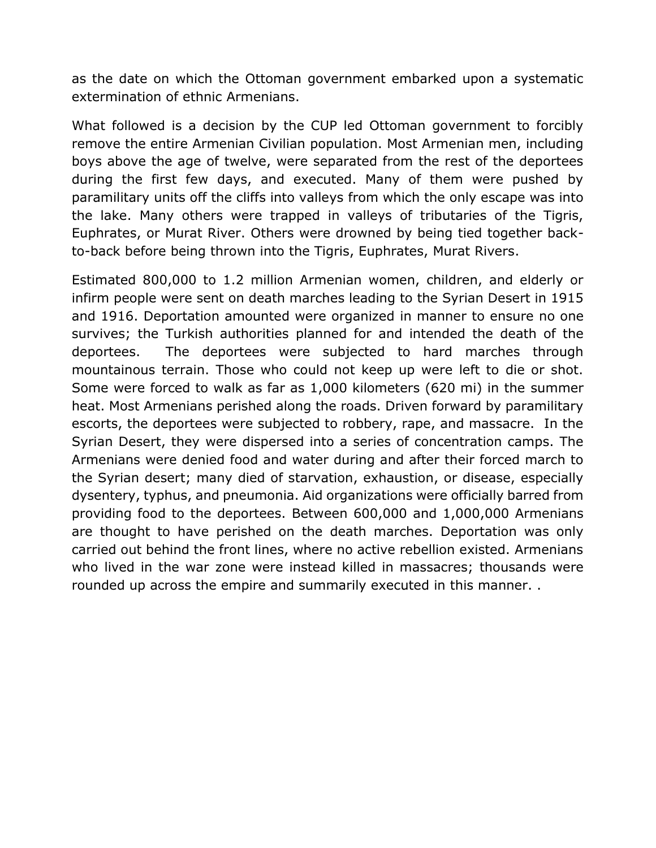as the date on which the Ottoman government embarked upon a systematic extermination of ethnic Armenians.

What followed is a decision by the CUP led Ottoman government to forcibly remove the entire Armenian Civilian population. Most Armenian men, including boys above the age of twelve, were separated from the rest of the deportees during the first few days, and executed. Many of them were pushed by paramilitary units off the cliffs into valleys from which the only escape was into the lake. Many others were trapped in valleys of tributaries of the Tigris, Euphrates, or Murat River. Others were drowned by being tied together backto-back before being thrown into the Tigris, Euphrates, Murat Rivers.

Estimated 800,000 to 1.2 million Armenian women, children, and elderly or infirm people were sent on death marches leading to the Syrian Desert in 1915 and 1916. Deportation amounted were organized in manner to ensure no one survives; the Turkish authorities planned for and intended the death of the deportees. The deportees were subjected to hard marches through mountainous terrain. Those who could not keep up were left to die or shot. Some were forced to walk as far as 1,000 kilometers (620 mi) in the summer heat. Most Armenians perished along the roads. Driven forward by paramilitary escorts, the deportees were subjected to robbery, rape, and massacre. In the Syrian Desert, they were dispersed into a series of concentration camps. The Armenians were denied food and water during and after their forced march to the Syrian desert; many died of starvation, exhaustion, or disease, especially dysentery, typhus, and pneumonia. Aid organizations were officially barred from providing food to the deportees. Between 600,000 and 1,000,000 Armenians are thought to have perished on the death marches. Deportation was only carried out behind the front lines, where no active rebellion existed. Armenians who lived in the war zone were instead killed in massacres; thousands were rounded up across the empire and summarily executed in this manner. .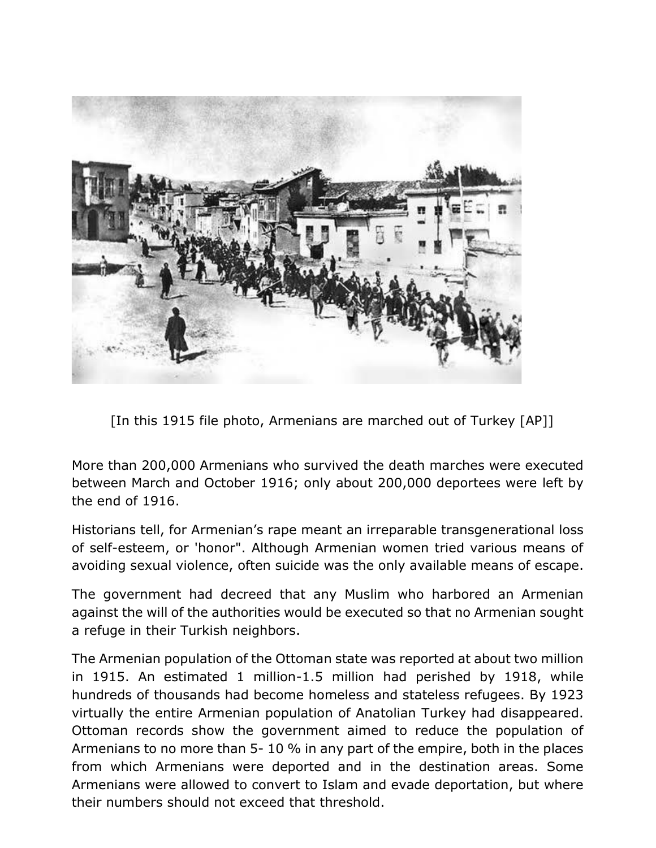

[In this 1915 file photo, Armenians are marched out of Turkey [AP]]

More than 200,000 Armenians who survived the death marches were executed between March and October 1916; only about 200,000 deportees were left by the end of 1916.

Historians tell, for Armenian's rape meant an irreparable transgenerational loss of self-esteem, or 'honor". Although Armenian women tried various means of avoiding sexual violence, often suicide was the only available means of escape.

The government had decreed that any Muslim who harbored an Armenian against the will of the authorities would be executed so that no Armenian sought a refuge in their Turkish neighbors.

The Armenian population of the Ottoman state was reported at about two million in 1915. An estimated 1 million-1.5 million had perished by 1918, while hundreds of thousands had become homeless and stateless refugees. By 1923 virtually the entire Armenian population of Anatolian Turkey had disappeared. Ottoman records show the government aimed to reduce the population of Armenians to no more than 5- 10 % in any part of the empire, both in the places from which Armenians were deported and in the destination areas. Some Armenians were allowed to convert to Islam and evade deportation, but where their numbers should not exceed that threshold.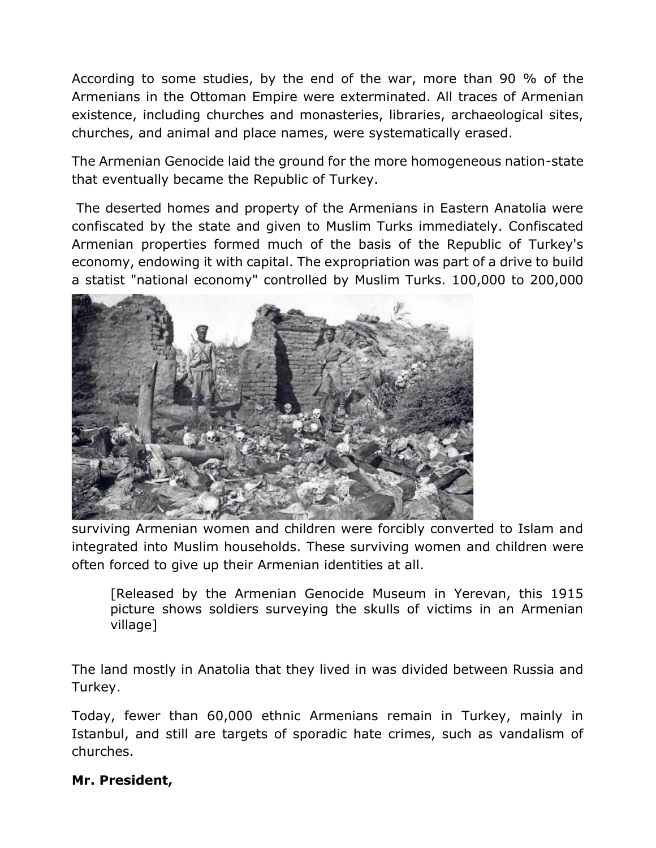According to some studies, by the end of the war, more than 90 % of the Armenians in the Ottoman Empire were exterminated. All traces of Armenian existence, including churches and monasteries, libraries, archaeological sites, churches, and animal and place names, were systematically erased.

The Armenian Genocide laid the ground for the more homogeneous nation-state that eventually became the Republic of Turkey.

The deserted homes and property of the Armenians in Eastern Anatolia were confiscated by the state and given to Muslim Turks immediately. Confiscated Armenian properties formed much of the basis of the Republic of Turkey's economy, endowing it with capital. The expropriation was part of a drive to build a statist "national economy" controlled by Muslim Turks. 100,000 to 200,000



surviving Armenian women and children were forcibly converted to Islam and integrated into Muslim households. These surviving women and children were often forced to give up their Armenian identities at all.

[Released by the Armenian Genocide Museum in Yerevan, this 1915 picture shows soldiers surveying the skulls of victims in an Armenian village]

The land mostly in Anatolia that they lived in was divided between Russia and Turkey.

Today, fewer than 60,000 ethnic Armenians remain in Turkey, mainly in Istanbul, and still are targets of sporadic hate crimes, such as vandalism of churches.

### **Mr. President,**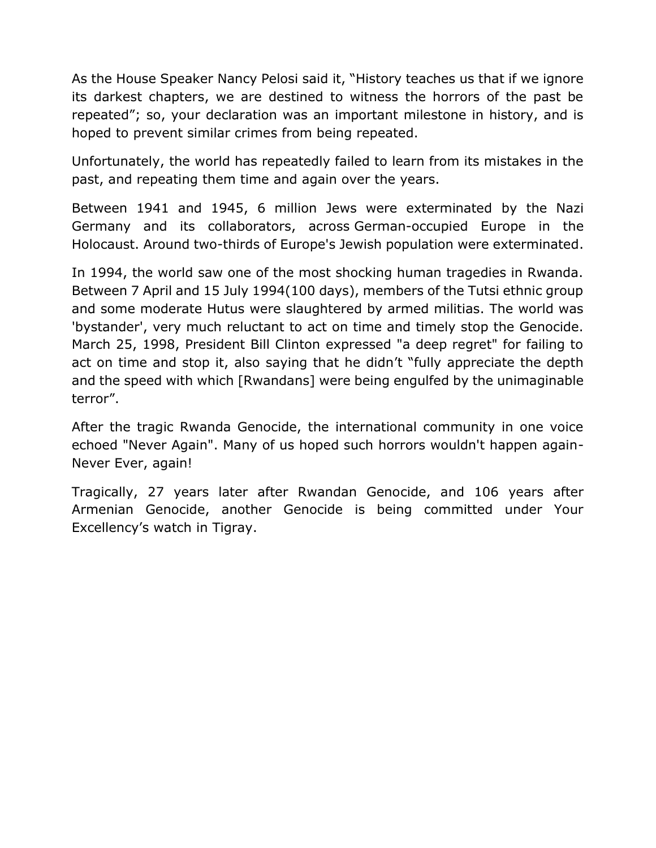As the House Speaker Nancy Pelosi said it, "History teaches us that if we ignore its darkest chapters, we are destined to witness the horrors of the past be repeated"; so, your declaration was an important milestone in history, and is hoped to prevent similar crimes from being repeated.

Unfortunately, the world has repeatedly failed to learn from its mistakes in the past, and repeating them time and again over the years.

Between 1941 and 1945, 6 million Jews were exterminated by the Nazi Germany and its collaborators, across [German-occupied](https://en.m.wikipedia.org/wiki/German-occupied_Europe) Europe in the Holocaust. Around two-thirds of Europe's Jewish population were exterminated.

In 1994, the world saw one of the most shocking human tragedies in Rwanda. Between 7 April and 15 July 1994(100 days), members of the Tutsi ethnic group and some moderate Hutus were slaughtered by armed militias. The world was 'bystander', very much reluctant to act on time and timely stop the Genocide. March 25, 1998, President Bill Clinton expressed "a deep regret" for failing to act on time and stop it, also saying that he didn't "fully appreciate the depth and the speed with which [Rwandans] were being engulfed by the unimaginable terror".

After the tragic Rwanda Genocide, the international community in one voice echoed "Never Again". Many of us hoped such horrors wouldn't happen again-Never Ever, again!

Tragically, 27 years later after Rwandan Genocide, and 106 years after Armenian Genocide, another Genocide is being committed under Your Excellency's watch in Tigray.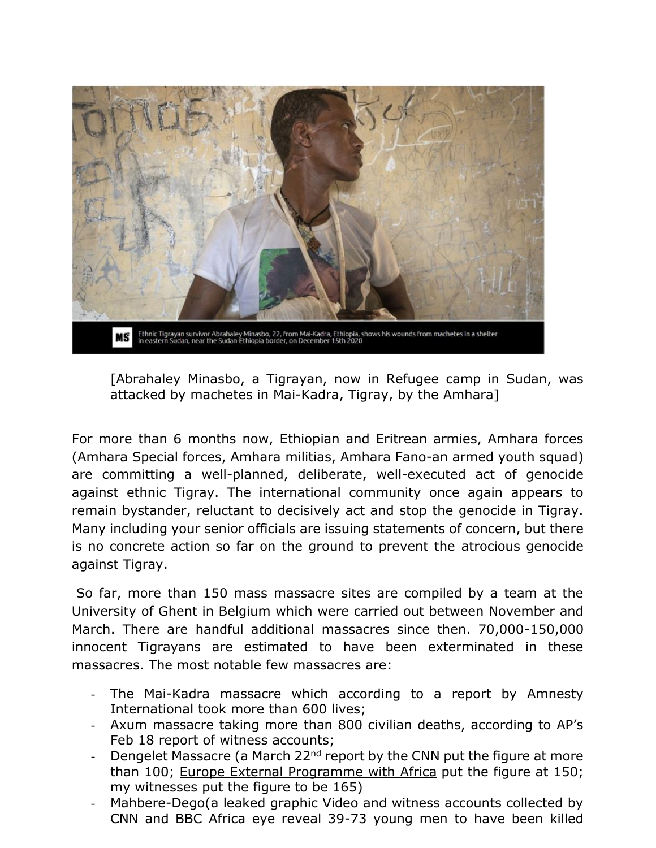

[Abrahaley Minasbo, a Tigrayan, now in Refugee camp in Sudan, was attacked by machetes in Mai-Kadra, Tigray, by the Amhara]

For more than 6 months now, Ethiopian and Eritrean armies, Amhara forces (Amhara Special forces, Amhara militias, Amhara Fano-an armed youth squad) are committing a well-planned, deliberate, well-executed act of genocide against ethnic Tigray. The international community once again appears to remain bystander, reluctant to decisively act and stop the genocide in Tigray. Many including your senior officials are issuing statements of concern, but there is no concrete action so far on the ground to prevent the atrocious genocide against Tigray.

So far, more than 150 mass massacre sites are compiled by a team at the University of Ghent in Belgium which were carried out between November and March. There are handful additional massacres since then. 70,000-150,000 innocent Tigrayans are estimated to have been exterminated in these massacres. The most notable few massacres are:

- The Mai-Kadra massacre which according to a report by Amnesty International took more than 600 lives;
- Axum massacre taking more than 800 civilian deaths, according to AP's Feb 18 report of witness accounts;
- Dengelet Massacre (a March 22<sup>nd</sup> report by the CNN put the figure at more than 100; Europe External [Programme](https://en.m.wikipedia.org/wiki/Europe_External_Programme_with_Africa) with Africa put the figure at 150; my witnesses put the figure to be 165)
- Mahbere-Dego(a leaked graphic Video and witness accounts collected by CNN and BBC Africa eye reveal 39-73 young men to have been killed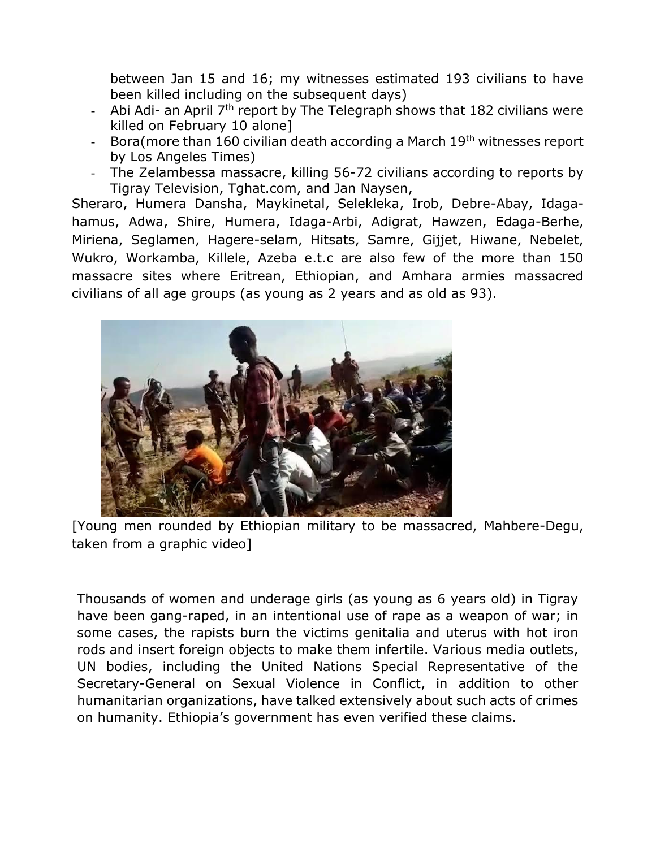between Jan 15 and 16; my witnesses estimated 193 civilians to have been killed including on the subsequent days)

- Abi Adi- an April 7<sup>th</sup> report by The Telegraph shows that 182 civilians were killed on February 10 alone]
- Bora(more than 160 civilian death according a March  $19<sup>th</sup>$  witnesses report by Los Angeles Times)
- The Zelambessa massacre, killing 56-72 civilians according to reports by Tigray Television, Tghat.com, and Jan Naysen,

Sheraro, Humera Dansha, Maykinetal, Selekleka, Irob, Debre-Abay, Idagahamus, Adwa, Shire, Humera, Idaga-Arbi, Adigrat, Hawzen, Edaga-Berhe, Miriena, Seglamen, Hagere-selam, Hitsats, Samre, Gijjet, Hiwane, Nebelet, Wukro, Workamba, Killele, Azeba e.t.c are also few of the more than 150 massacre sites where Eritrean, Ethiopian, and Amhara armies massacred civilians of all age groups (as young as 2 years and as old as 93).



[Young men rounded by Ethiopian military to be massacred, Mahbere-Degu, taken from a graphic video]

Thousands of women and underage girls (as young as 6 years old) in Tigray have been gang-raped, in an intentional use of rape as a weapon of war; in some cases, the rapists burn the victims genitalia and uterus with hot iron rods and insert foreign objects to make them infertile. Various media outlets, UN bodies, including the United Nations Special Representative of the Secretary-General on Sexual Violence in Conflict, in addition to other humanitarian organizations, have talked extensively about such acts of crimes on humanity. Ethiopia's government has even verified these claims.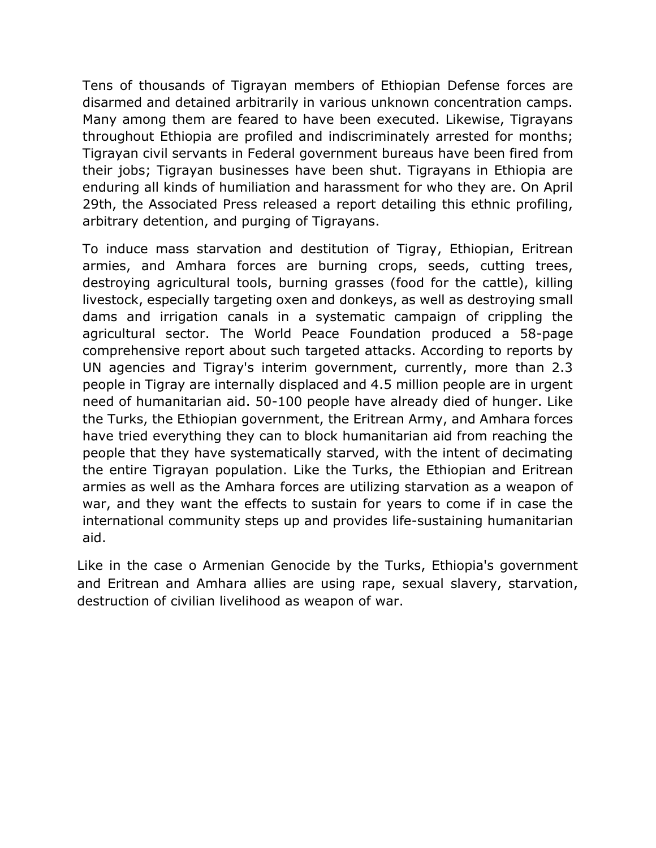Tens of thousands of Tigrayan members of Ethiopian Defense forces are disarmed and detained arbitrarily in various unknown concentration camps. Many among them are feared to have been executed. Likewise, Tigrayans throughout Ethiopia are profiled and indiscriminately arrested for months; Tigrayan civil servants in Federal government bureaus have been fired from their jobs; Tigrayan businesses have been shut. Tigrayans in Ethiopia are enduring all kinds of humiliation and harassment for who they are. On April 29th, the Associated Press released a report detailing this ethnic profiling, arbitrary detention, and purging of Tigrayans.

To induce mass starvation and destitution of Tigray, Ethiopian, Eritrean armies, and Amhara forces are burning crops, seeds, cutting trees, destroying agricultural tools, burning grasses (food for the cattle), killing livestock, especially targeting oxen and donkeys, as well as destroying small dams and irrigation canals in a systematic campaign of crippling the agricultural sector. The World Peace Foundation produced a 58-page comprehensive report about such targeted attacks. According to reports by UN agencies and Tigray's interim government, currently, more than 2.3 people in Tigray are internally displaced and 4.5 million people are in urgent need of humanitarian aid. 50-100 people have already died of hunger. Like the Turks, the Ethiopian government, the Eritrean Army, and Amhara forces have tried everything they can to block humanitarian aid from reaching the people that they have systematically starved, with the intent of decimating the entire Tigrayan population. Like the Turks, the Ethiopian and Eritrean armies as well as the Amhara forces are utilizing starvation as a weapon of war, and they want the effects to sustain for years to come if in case the international community steps up and provides life-sustaining humanitarian aid.

Like in the case o Armenian Genocide by the Turks, Ethiopia's government and Eritrean and Amhara allies are using rape, sexual slavery, starvation, destruction of civilian livelihood as weapon of war.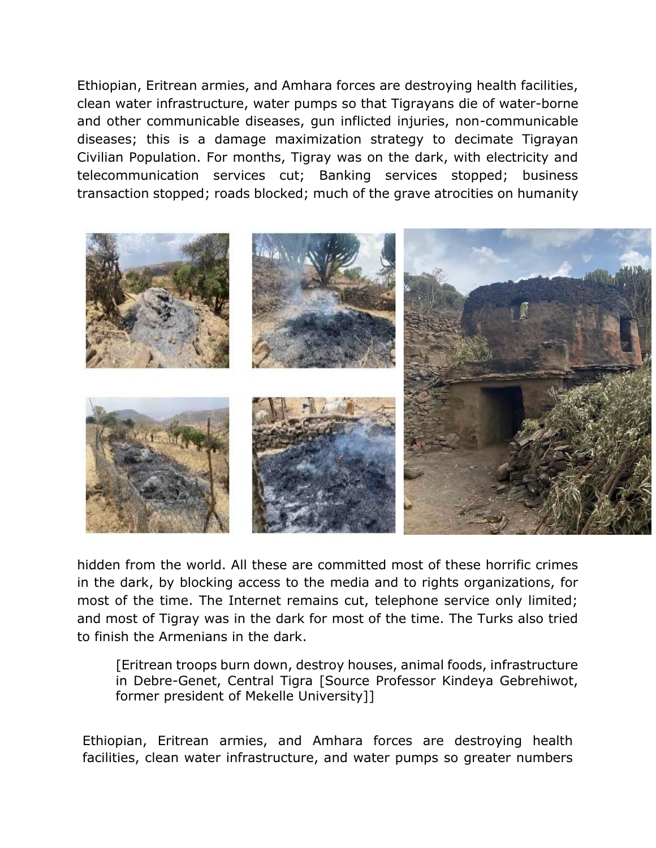Ethiopian, Eritrean armies, and Amhara forces are destroying health facilities, clean water infrastructure, water pumps so that Tigrayans die of water-borne and other communicable diseases, gun inflicted injuries, non-communicable diseases; this is a damage maximization strategy to decimate Tigrayan Civilian Population. For months, Tigray was on the dark, with electricity and telecommunication services cut; Banking services stopped; business transaction stopped; roads blocked; much of the grave atrocities on humanity



hidden from the world. All these are committed most of these horrific crimes in the dark, by blocking access to the media and to rights organizations, for most of the time. The Internet remains cut, telephone service only limited; and most of Tigray was in the dark for most of the time. The Turks also tried to finish the Armenians in the dark.

[Eritrean troops burn down, destroy houses, animal foods, infrastructure in Debre-Genet, Central Tigra [Source Professor Kindeya Gebrehiwot, former president of Mekelle University]]

Ethiopian, Eritrean armies, and Amhara forces are destroying health facilities, clean water infrastructure, and water pumps so greater numbers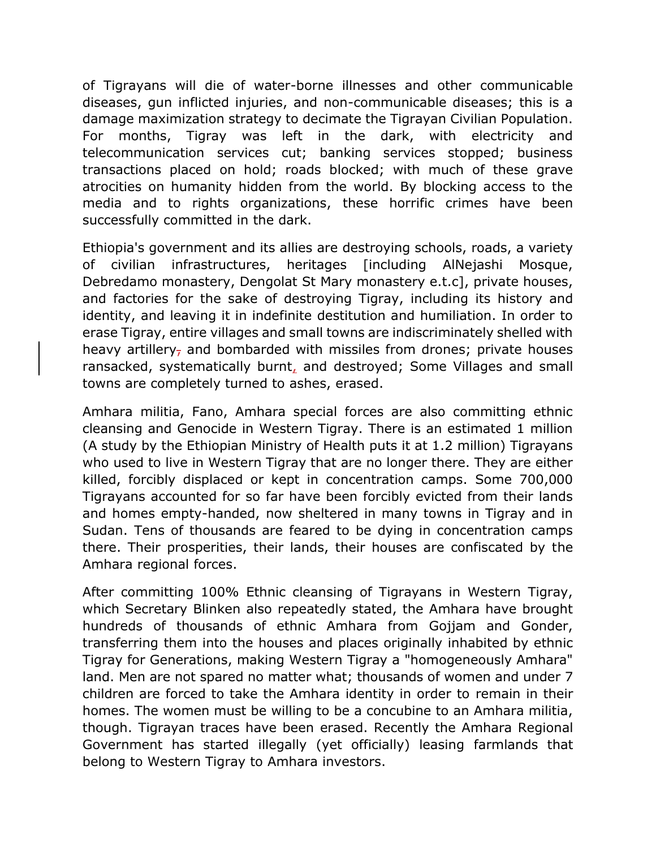of Tigrayans will die of water-borne illnesses and other communicable diseases, gun inflicted injuries, and non-communicable diseases; this is a damage maximization strategy to decimate the Tigrayan Civilian Population. For months, Tigray was left in the dark, with electricity and telecommunication services cut; banking services stopped; business transactions placed on hold; roads blocked; with much of these grave atrocities on humanity hidden from the world. By blocking access to the media and to rights organizations, these horrific crimes have been successfully committed in the dark.

Ethiopia's government and its allies are destroying schools, roads, a variety of civilian infrastructures, heritages [including AlNejashi Mosque, Debredamo monastery, Dengolat St Mary monastery e.t.c], private houses, and factories for the sake of destroying Tigray, including its history and identity, and leaving it in indefinite destitution and humiliation. In order to erase Tigray, entire villages and small towns are indiscriminately shelled with heavy artillery<sub>7</sub> and bombarded with missiles from drones; private houses ransacked, systematically burnt, and destroyed; Some Villages and small towns are completely turned to ashes, erased.

Amhara militia, Fano, Amhara special forces are also committing ethnic cleansing and Genocide in Western Tigray. There is an estimated 1 million (A study by the Ethiopian Ministry of Health puts it at 1.2 million) Tigrayans who used to live in Western Tigray that are no longer there. They are either killed, forcibly displaced or kept in concentration camps. Some 700,000 Tigrayans accounted for so far have been forcibly evicted from their lands and homes empty-handed, now sheltered in many towns in Tigray and in Sudan. Tens of thousands are feared to be dying in concentration camps there. Their prosperities, their lands, their houses are confiscated by the Amhara regional forces.

After committing 100% Ethnic cleansing of Tigrayans in Western Tigray, which Secretary Blinken also repeatedly stated, the Amhara have brought hundreds of thousands of ethnic Amhara from Gojjam and Gonder, transferring them into the houses and places originally inhabited by ethnic Tigray for Generations, making Western Tigray a "homogeneously Amhara" land. Men are not spared no matter what; thousands of women and under 7 children are forced to take the Amhara identity in order to remain in their homes. The women must be willing to be a concubine to an Amhara militia, though. Tigrayan traces have been erased. Recently the Amhara Regional Government has started illegally (yet officially) leasing farmlands that belong to Western Tigray to Amhara investors.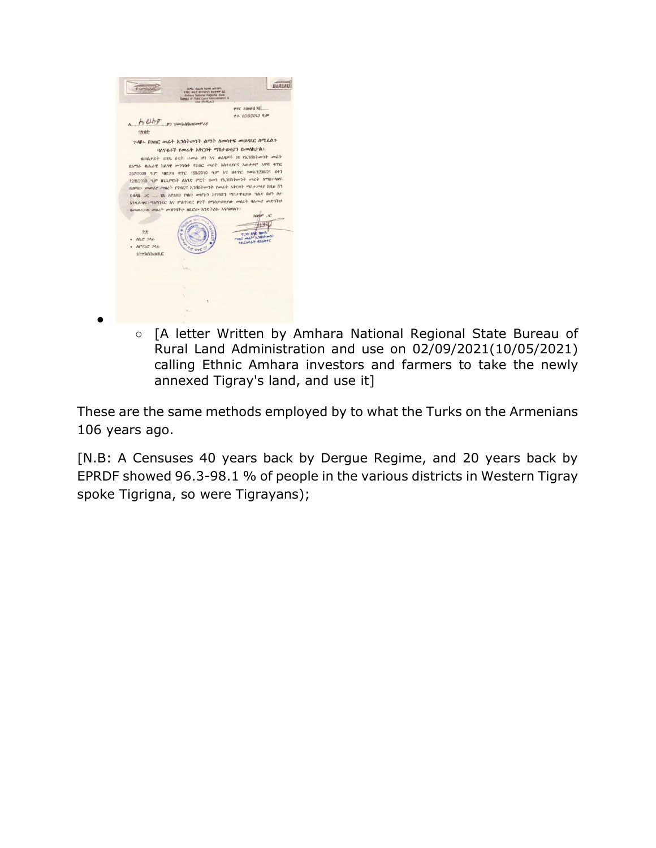| <b>TurnishB</b>                                                                                                                                                             | <b>BAMG BAGE NOOT WITH?</b><br>VISC mot anenzes anywy ac<br>Amhara National Regional State<br>Bureau of Rural Land Administration &<br>(UAJRofit as). |                                                                                  | <b>BoRLAU</b> |  |
|-----------------------------------------------------------------------------------------------------------------------------------------------------------------------------|-------------------------------------------------------------------------------------------------------------------------------------------------------|----------------------------------------------------------------------------------|---------------|--|
| heim                                                                                                                                                                        |                                                                                                                                                       | <b>PTE USAA W</b><br>+1- 02/9/2013 4.9"                                          |               |  |
| IF3 2/ow/h/t/h/tVorof CS<br>ባሉበት                                                                                                                                            |                                                                                                                                                       |                                                                                  |               |  |
|                                                                                                                                                                             | ንዳዩ፡- በገጠር መሬት ኢንስትመንት ልማት ስመሳተፍ መወዳደር ስሚፌልጉ<br>ባለሃብቶች የመሬት አቅርቦት ማስታወቂያን ይመለከታል!<br>በወልቃይት ጠንዱ ስቲት ሁመራ ዞን እና ወረዳዎች ነፃ የኢንቨስትመንት መሬት                  |                                                                                  |               |  |
| በአማራ ብሔራዊ ክልሳዊ መንግስት የገጠር መሬት አስተዳደርና አጠቃቀም አዋጅ ቁጥር<br>18878 #TC 159/2010 9.9" AS 8#TC 7amA/1236/21 8#7<br>252/2009 9.9"                                                    |                                                                                                                                                       |                                                                                  |               |  |
| 12/8/2013 ዓ.ም በጊዜያዊነት ለአንድ ምርት ዘመን የኢንቨስትመንት መራት ሰማስተሳለፍ<br>በመጣው መመሪያ መስረት የንብርና ኢንቨስትመንት የመሬት አቅርቦት ማስታዎቂያ ከዚህ ሽኝ<br>ደብዳቤ ጋር  78 አያይዘን የሳክን መሆኑን አየንስጽን ማስታዋቂያው ግልጽ በሆነ ቦታ |                                                                                                                                                       |                                                                                  |               |  |
| እንዲሰጠፍተማልማንደር እና ምልማንደር ዞኖች በማስታወቂያው መስረት ባለሙያ መድባችሁ<br>በመመሪያው መሰረት መዝንባቸሁ ሰቢሮው አንድትልኩ አናሳስባለን።<br>n.                                                                       |                                                                                                                                                       | how" .ac                                                                         |               |  |
| <b>DAdh</b><br>爭節<br>š<br>ARC 244<br>• AFTAC 206-<br>$e_{c+nc}$                                                                                                             |                                                                                                                                                       | 4141<br><b>T.20 046 hm 9.</b><br><b>TIME MET AJANT</b><br><u> የደራክቶራት ዳይሬክተር</u> |               |  |
| 7/an/ha/han/fl.t"<br>Link                                                                                                                                                   |                                                                                                                                                       |                                                                                  |               |  |
|                                                                                                                                                                             |                                                                                                                                                       |                                                                                  |               |  |
| ×.                                                                                                                                                                          | ۹                                                                                                                                                     |                                                                                  |               |  |
| [A letter Written by A                                                                                                                                                      |                                                                                                                                                       |                                                                                  |               |  |

Amhara National Regional State Bureau of Rural Land Administration and use on 02/09/2021(10/05/2021) calling Ethnic Amhara investors and farmers to take the newly annexed Tigray's land, and use it]

These are the same methods employed by to what the Turks on the Armenians 106 years ago.

[N.B: A Censuses 40 years back by Dergue Regime, and 20 years back by EPRDF showed 96.3-98.1 % of people in the various districts in Western Tigray spoke Tigrigna, so were Tigrayans);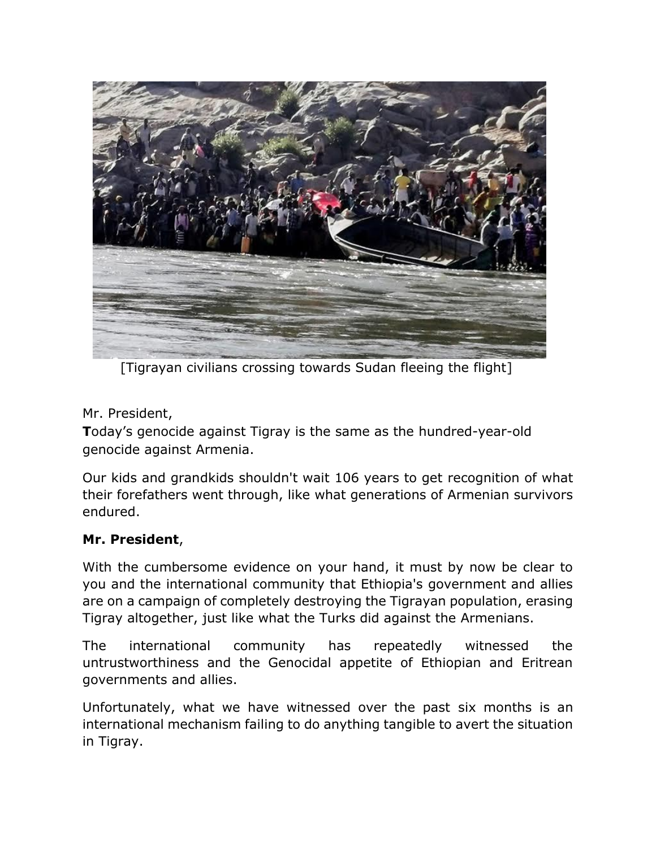

[Tigrayan civilians crossing towards Sudan fleeing the flight]

Mr. President,

**T**oday's genocide against Tigray is the same as the hundred-year-old genocide against Armenia.

Our kids and grandkids shouldn't wait 106 years to get recognition of what their forefathers went through, like what generations of Armenian survivors endured.

### **Mr. President**,

With the cumbersome evidence on your hand, it must by now be clear to you and the international community that Ethiopia's government and allies are on a campaign of completely destroying the Tigrayan population, erasing Tigray altogether, just like what the Turks did against the Armenians.

The international community has repeatedly witnessed the untrustworthiness and the Genocidal appetite of Ethiopian and Eritrean governments and allies.

Unfortunately, what we have witnessed over the past six months is an international mechanism failing to do anything tangible to avert the situation in Tigray.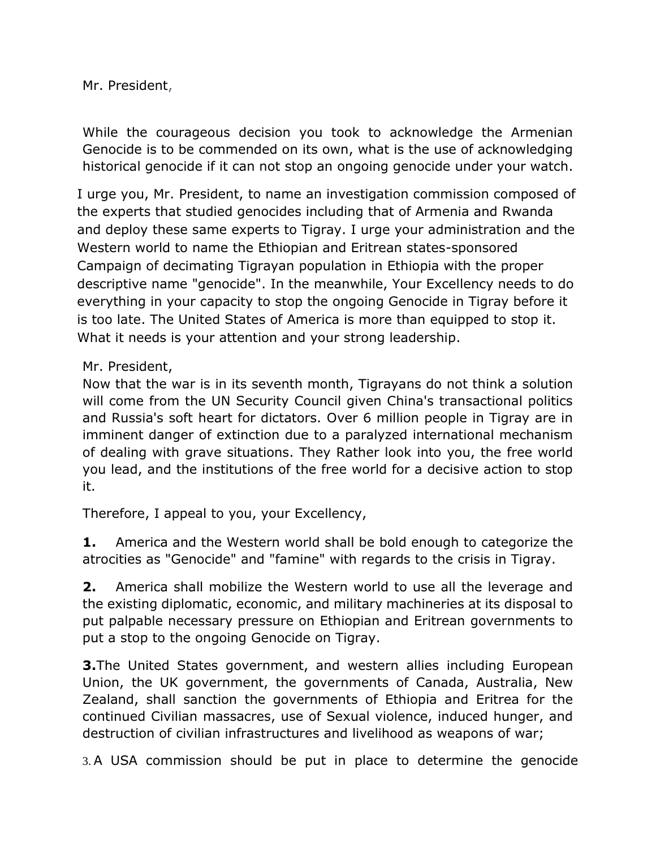Mr. President,

While the courageous decision you took to acknowledge the Armenian Genocide is to be commended on its own, what is the use of acknowledging historical genocide if it can not stop an ongoing genocide under your watch.

I urge you, Mr. President, to name an investigation commission composed of the experts that studied genocides including that of Armenia and Rwanda and deploy these same experts to Tigray. I urge your administration and the Western world to name the Ethiopian and Eritrean states-sponsored Campaign of decimating Tigrayan population in Ethiopia with the proper descriptive name "genocide". In the meanwhile, Your Excellency needs to do everything in your capacity to stop the ongoing Genocide in Tigray before it is too late. The United States of America is more than equipped to stop it. What it needs is your attention and your strong leadership.

Mr. President,

Now that the war is in its seventh month, Tigrayans do not think a solution will come from the UN Security Council given China's transactional politics and Russia's soft heart for dictators. Over 6 million people in Tigray are in imminent danger of extinction due to a paralyzed international mechanism of dealing with grave situations. They Rather look into you, the free world you lead, and the institutions of the free world for a decisive action to stop it.

Therefore, I appeal to you, your Excellency,

**1.** America and the Western world shall be bold enough to categorize the atrocities as "Genocide" and "famine" with regards to the crisis in Tigray.

**2.** America shall mobilize the Western world to use all the leverage and the existing diplomatic, economic, and military machineries at its disposal to put palpable necessary pressure on Ethiopian and Eritrean governments to put a stop to the ongoing Genocide on Tigray.

**3.**The United States government, and western allies including European Union, the UK government, the governments of Canada, Australia, New Zealand, shall sanction the governments of Ethiopia and Eritrea for the continued Civilian massacres, use of Sexual violence, induced hunger, and destruction of civilian infrastructures and livelihood as weapons of war;

3. A USA commission should be put in place to determine the genocide